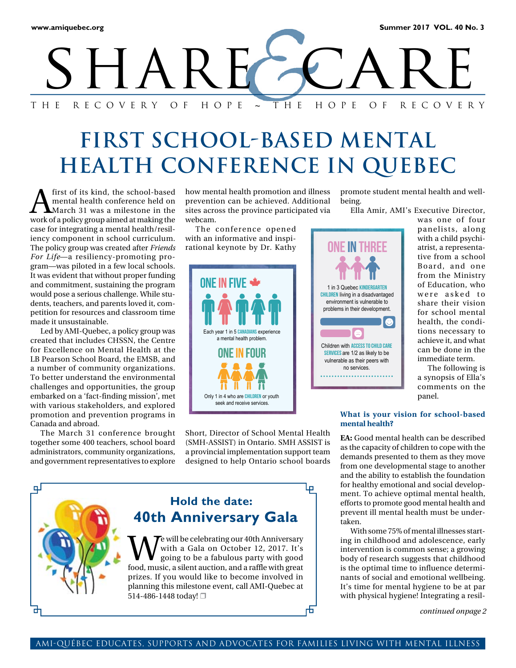

# **FIRST SCHOOL-BASED MENTAL HEALTH CONFERENCE IN QUEBEC**

 $\sum_{\text{March 31 was a misleading number}}$ <br> $\sum_{\text{March 31 was a mileage in the}}$ mental health conference held on March 31 was a milestone in the work of a policy group aimed at making the case for integrating a mental health/resiliency component in school curriculum. The policy group was created after *Friends For Life*—a resiliency-promoting program—was piloted in a few local schools. It was evident that without proper funding and commitment, sustaining the program would pose a serious challenge. While students, teachers, and parents loved it, competition for resources and classroom time made it unsustainable.

Led by AMI-Quebec, a policy group was created that includes CHSSN, the Centre for Excellence on Mental Health at the LB Pearson School Board, the EMSB, and a number of community organizations. To better understand the environmental challenges and opportunities, the group embarked on a 'fact-finding mission', met with various stakeholders, and explored promotion and prevention programs in Canada and abroad.

The March 31 conference brought together some 400 teachers, school board administrators, community organizations, and government representatives to explore

how mental health promotion and illness prevention can be achieved. Additional sites across the province participated via webcam.

The conference opened with an informative and inspirational keynote by Dr. Kathy



Short, Director of School Mental Health (SMH-ASSIST) in Ontario. SMH ASSIST is a provincial implementation support team designed to help Ontario school boards



promote student mental health and wellbeing.

**ONE IN THREE** 

1 in 3 Quebec KINDERGARTEN CHILDREN living in a disadvantaged environment is vulnerable to problems in their development.

**O** 

Ella Amir, AMI's Executive Director,

was one of four panelists, along with a child psychiatrist, a representative from a school Board, and one from the Ministry of Education, who were asked to share their vision for school mental health, the conditions necessary to achieve it, and what can be done in the immediate term.

The following is a synopsis of Ella's comments on the panel.

## **What is your vision for school-based**

**EA:** Good mental health can be described as the capacity of children to cope with the demands presented to them as they move from one developmental stage to another and the ability to establish the foundation for healthy emotional and social development. To achieve optimal mental health, efforts to promote good mental health and prevent ill mental health must be undertaken.

With some 75% of mental illnesses starting in childhood and adolescence, early intervention is common sense; a growing body of research suggests that childhood is the optimal time to influence determinants of social and emotional wellbeing. It's time for mental hygiene to be at par with physical hygiene! Integrating a resil-

*continued onpage 2*

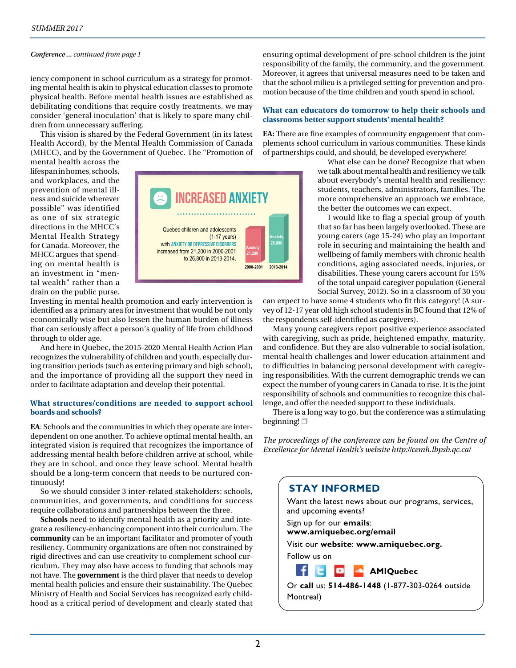### *Conference ... continued from page 1*

iency component in school curriculum as a strategy for promoting mental health is akin to physical education classes to promote physical health. Before mental health issues are established as debilitating conditions that require costly treatments, we may consider 'general inoculation' that is likely to spare many children from unnecessary suffering.

This vision is shared by the Federal Government (in its latest Health Accord), by the Mental Health Commission of Canada (MHCC), and by the Government of Quebec. The "Promotion of

mental health across the lifespan in homes, schools, and workplaces, and the prevention of mental illness and suicide wherever possible" was identified as one of six strategic directions in the MHCC's Mental Health Strategy for Canada. Moreover, the MHCC argues that spending on mental health is an investment in "mental wealth" rather than a drain on the public purse.



Investing in mental health promotion and early intervention is identified as a primary area for investment that would be not only economically wise but also lessen the human burden of illness that can seriously affect a person's quality of life from childhood through to older age.

And here in Quebec, the 2015-2020 Mental Health Action Plan recognizes the vulnerability of children and youth, especially during transition periods (such as entering primary and high school), and the importance of providing all the support they need in order to facilitate adaptation and develop their potential.

### **What structures/conditions are needed to support school boards and schools?**

**EA**: Schools and the communities in which they operate are interdependent on one another. To achieve optimal mental health, an integrated vision is required that recognizes the importance of addressing mental health before children arrive at school, while they are in school, and once they leave school. Mental health should be a long-term concern that needs to be nurtured continuously!

So we should consider 3 inter-related stakeholders: schools, communities, and governments, and conditions for success require collaborations and partnerships between the three.

**Schools** need to identify mental health as a priority and integrate a resiliency-enhancing component into their curriculum. The **community** can be an important facilitator and promoter of youth resiliency. Community organizations are often not constrained by rigid directives and can use creativity to complement school curriculum. They may also have access to funding that schools may not have. The **government** is the third player that needs to develop mental health policies and ensure their sustainability. The Quebec Ministry of Health and Social Services has recognized early childhood as a critical period of development and clearly stated that

ensuring optimal development of pre-school children is the joint responsibility of the family, the community, and the government. Moreover, it agrees that universal measures need to be taken and that the school milieu is a privileged setting for prevention and promotion because of the time children and youth spend in school.

### **What can educators do tomorrow to help their schools and classrooms better support students' mental health?**

**EA:** There are fine examples of community engagement that complements school curriculum in various communities. These kinds of partnerships could, and should, be developed everywhere!

> What else can be done? Recognize that when we talk about mental health and resiliency we talk about everybody's mental health and resiliency: students, teachers, administrators, families. The more comprehensive an approach we embrace, the better the outcomes we can expect.

> I would like to flag a special group of youth that so far has been largely overlooked. These are young carers (age 15-24) who play an important role in securing and maintaining the health and wellbeing of family members with chronic health conditions, aging associated needs, injuries, or disabilities. These young carers account for 15% of the total unpaid caregiver population (General Social Survey, 2012). So in a classroom of 30 you

can expect to have some 4 students who fit this category! (A survey of 12-17 year old high school students in BC found that 12% of the respondents self-identified as caregivers).

Many young caregivers report positive experience associated with caregiving, such as pride, heightened empathy, maturity, and confidence. But they are also vulnerable to social isolation, mental health challenges and lower education attainment and to difficulties in balancing personal development with caregiving responsibilities. With the current demographic trends we can expect the number of young carers in Canada to rise. It is the joint responsibility of schools and communities to recognize this challenge, and offer the needed support to these individuals.

There is a long way to go, but the conference was a stimulating beginning!  $\Box$ 

*The proceedings of the conference can be found on the Centre of Excellence for Mental Health's website http://cemh.lbpsb.qc.ca/*

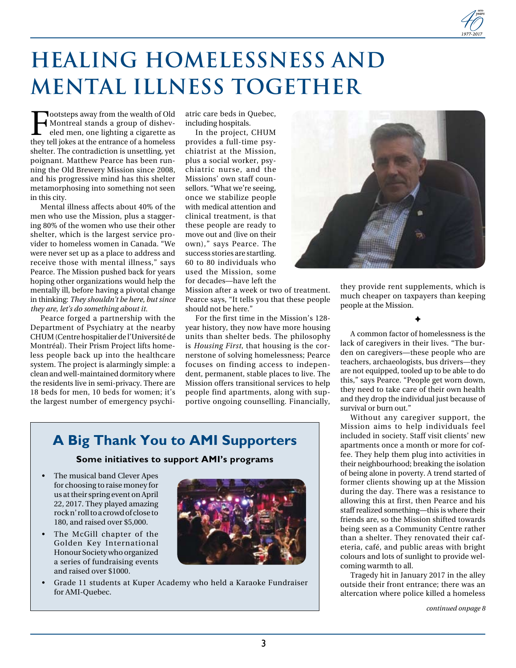# **Healing Homelessness and Mental Illness Together**

Footsteps away from the wealth of Old<br>Montreal stands a group of disheveled men, one lighting a cigarette as<br>they tell jokes at the entrance of a homeless Montreal stands a group of disheveled men, one lighting a cigarette as they tell jokes at the entrance of a homeless shelter. The contradiction is unsettling, yet poignant. Matthew Pearce has been running the Old Brewery Mission since 2008, and his progressive mind has this shelter metamorphosing into something not seen in this city.

Mental illness affects about 40% of the men who use the Mission, plus a staggering 80% of the women who use their other shelter, which is the largest service provider to homeless women in Canada. "We were never set up as a place to address and receive those with mental illness," says Pearce. The Mission pushed back for years hoping other organizations would help the mentally ill, before having a pivotal change in thinking: *They shouldn't be here, but since they are, let's do something about it.*

Pearce forged a partnership with the Department of Psychiatry at the nearby CHUM (Centre hospitalier de l'Université de Montréal). Their Prism Project lifts homeless people back up into the healthcare system. The project is alarmingly simple: a clean and well-maintained dormitory where the residents live in semi-privacy. There are 18 beds for men, 10 beds for women; it's the largest number of emergency psychiatric care beds in Quebec, including hospitals.

In the project, CHUM provides a full-time psychiatrist at the Mission, plus a social worker, psychiatric nurse, and the Missions' own staff counsellors. "What we're seeing, once we stabilize people with medical attention and clinical treatment, is that these people are ready to move out and (live on their own)," says Pearce. The success stories are startling. 60 to 80 individuals who used the Mission, some for decades—have left the

Mission after a week or two of treatment. Pearce says, "It tells you that these people should not be here."

For the first time in the Mission's 128 year history, they now have more housing units than shelter beds. The philosophy is *Housing First*, that housing is the cornerstone of solving homelessness; Pearce focuses on finding access to independent, permanent, stable places to live. The Mission offers transitional services to help people find apartments, along with supportive ongoing counselling. Financially,

### **A Big Thank You to AMI Supporters**

**Some initiatives to support AMI's programs** 

- The musical band Clever Apes for choosing to raise money for us at their spring event on April 22, 2017. They played amazing rock n' roll to a crowd of close to 180, and raised over \$5,000.
- The McGill chapter of the Golden Key International Honour Society who organized a series of fundraising events and raised over \$1000.
- Grade 11 students at Kuper Academy who held a Karaoke Fundraiser for AMI-Quebec.



they provide rent supplements, which is much cheaper on taxpayers than keeping people at the Mission.

✦

A common factor of homelessness is the lack of caregivers in their lives. "The burden on caregivers—these people who are teachers, archaeologists, bus drivers—they are not equipped, tooled up to be able to do this," says Pearce. "People get worn down, they need to take care of their own health and they drop the individual just because of survival or burn out."

Without any caregiver support, the Mission aims to help individuals feel included in society. Staff visit clients' new apartments once a month or more for coffee. They help them plug into activities in their neighbourhood; breaking the isolation of being alone in poverty. A trend started of former clients showing up at the Mission during the day. There was a resistance to allowing this at first, then Pearce and his staff realized something—this is where their friends are, so the Mission shifted towards being seen as a Community Centre rather than a shelter. They renovated their cafeteria, café, and public areas with bright colours and lots of sunlight to provide welcoming warmth to all.

Tragedy hit in January 2017 in the alley outside their front entrance; there was an altercation where police killed a homeless

*continued onpage 8*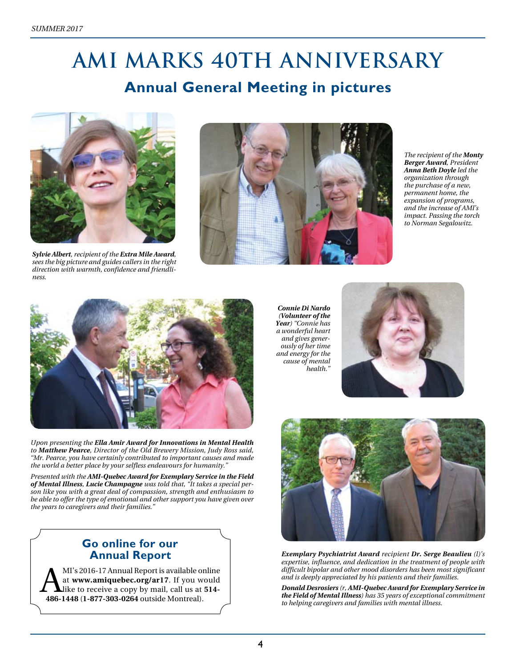# **AMI marks 40th Anniversary Annual General Meeting in pictures**



*Sylvie Albert, recipient of the Extra Mile Award, sees the big picture and guides callers in the right direction with warmth, confidence and friendliness.*



*The recipient of the Monty Berger Award, President Anna Beth Doyle led the organization through the purchase of a new, permanent home, the expansion of programs, and the increase of AMI's impact. Passing the torch to Norman Segalowitz.* 



*Upon presenting the Ella Amir Award for Innovations in Mental Health to Matthew Pearce, Director of the Old Brewery Mission, Judy Ross said, "Mr. Pearce, you have certainly contributed to important causes and made the world a better place by your selfless endeavours for humanity."* 

*Presented with the AMI-Quebec Award for Exemplary Service in the Field of Mental Illness, Lucie Champagne was told that, "It takes a special person like you with a great deal of compassion, strength and enthusiasm to be able to offer the type of emotional and other support you have given over the years to caregivers and their families."*

### **Go online for our Annual Report**

MI's 2016-17 Annual Report is available online<br>at www.amiquebec.org/ar17. If you would<br>like to receive a copy by mail, call us at 514-<br>486-1448 (1-877-303-0264 outside Montreal) at **www.amiquebec.org/ar17**. If you would like to receive a copy by mail, call us at **514- 486-1448** (**1-877-303-0264** outside Montreal).

*Connie Di Nardo (Volunteer of the Year) "Connie has a wonderful heart and gives generously of her time and energy for the cause of mental health."*





*Exemplary Psychiatrist Award recipient Dr. Serge Beaulieu (l)'s expertise, influence, and dedication in the treatment of people with difficult bipolar and other mood disorders has been most significant and is deeply appreciated by his patients and their families.* 

*Donald Desrosiers (r, AMI-Quebec Award for Exemplary Service in the Field of Mental Illness) has 35 years of exceptional commitment to helping caregivers and families with mental illness.*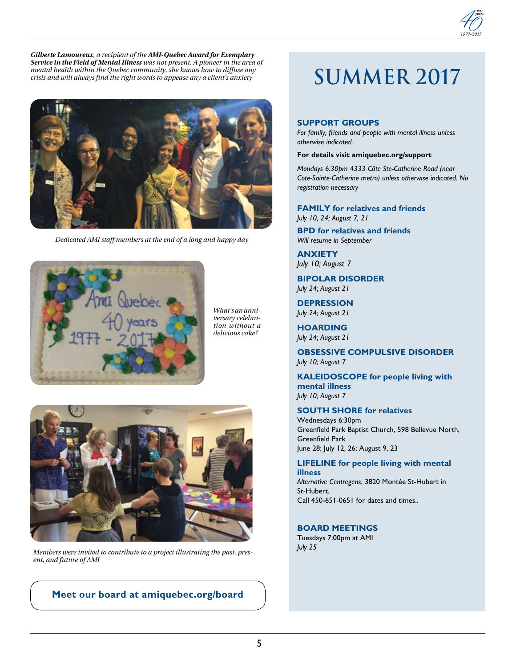



*Dedicated AMI staff members at the end of a long and happy day*



*What's an anniversary celebration without a delicious cake?* 



*July 25 Members were invited to contribute to a project illustrating the past, present, and future of AMI*

**Meet our board at amiquebec.org/board**

# **SUMMER 2017**

### **SUPPORT GROUPS**

*For family, friends and people with mental illness unless otherwise indicated.* 

### **For details visit amiquebec.org/support**

*Mondays 6:30pm 4333 Côte Ste-Catherine Road (near Cote-Sainte-Catherine metro) unless otherwise indicated. No registration necessary*

### **FAMILY for relatives and friends**

*July 10, 24; August 7, 21* 

**BPD for relatives and friends** *Will resume in September*

**ANXIETY** *July 10; August 7*

**BIPOLAR DISORDER** *July 24; August 21* 

**DEPRESSION** *July 24; August 21* 

**HOARDING** *July 24; August 21* 

**OBSESSIVE COMPULSIVE DISORDER** *July 10; August 7* 

**KALEIDOSCOPE for people living with mental illness** *July 10; August 7* 

### **SOUTH SHORE for relatives**

Wednesdays 6:30pm Greenfield Park Baptist Church, 598 Bellevue North, Greenfield Park June 28; July 12, 26; August 9, 23

### **LIFELINE for people living with mental illness**

*Alternative Centregens*, 3820 Montée St-Hubert in St-Hubert. Call 450-651-0651 for dates and times..

### **BOARD MEETINGS**

Tuesdays 7:00pm at AMI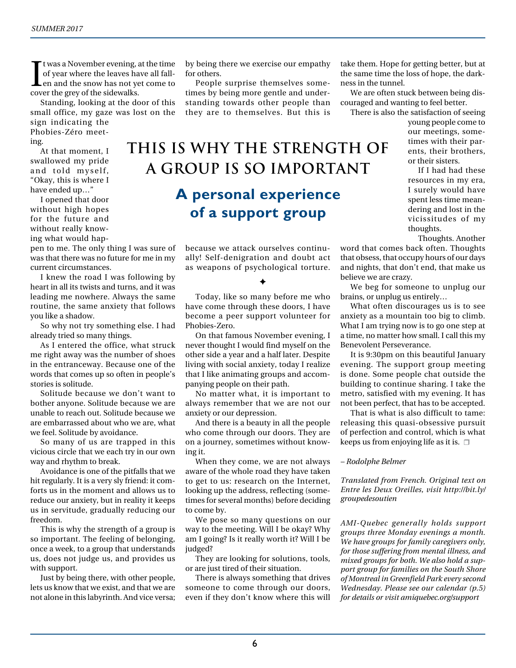If was a November evening, a<br>of year where the leaves ha<br>en and the snow has not ye<br>cover the grey of the sidewalks. t was a November evening, at the time of year where the leaves have all fallen and the snow has not yet come to

Standing, looking at the door of this small office, my gaze was lost on the sign indicating the

Phobies-Zéro meeting.

At that moment, I swallowed my pride and told myself, "Okay, this is where I have ended up…"

I opened that door without high hopes for the future and without really knowing what would hap-

pen to me. The only thing I was sure of was that there was no future for me in my current circumstances.

I knew the road I was following by heart in all its twists and turns, and it was leading me nowhere. Always the same routine, the same anxiety that follows you like a shadow.

So why not try something else. I had already tried so many things.

As I entered the office, what struck me right away was the number of shoes in the entranceway. Because one of the words that comes up so often in people's stories is solitude.

Solitude because we don't want to bother anyone. Solitude because we are unable to reach out. Solitude because we are embarrassed about who we are, what we feel. Solitude by avoidance.

So many of us are trapped in this vicious circle that we each try in our own way and rhythm to break.

Avoidance is one of the pitfalls that we hit regularly. It is a very sly friend: it comforts us in the moment and allows us to reduce our anxiety, but in reality it keeps us in servitude, gradually reducing our freedom.

This is why the strength of a group is so important. The feeling of belonging, once a week, to a group that understands us, does not judge us, and provides us with support.

Just by being there, with other people, lets us know that we exist, and that we are not alone in this labyrinth. And vice versa;

by being there we exercise our empathy for others.

People surprise themselves sometimes by being more gentle and understanding towards other people than they are to themselves. But this is

## **This is why the strength of a group is so important A personal experience of a support group**

because we attack ourselves continually! Self-denigration and doubt act as weapons of psychological torture.

### ✦

Today, like so many before me who have come through these doors, I have become a peer support volunteer for Phobies-Zero.

On that famous November evening, I never thought I would find myself on the other side a year and a half later. Despite living with social anxiety, today I realize that I like animating groups and accompanying people on their path.

No matter what, it is important to always remember that we are not our anxiety or our depression.

And there is a beauty in all the people who come through our doors. They are on a journey, sometimes without knowing it.

When they come, we are not always aware of the whole road they have taken to get to us: research on the Internet, looking up the address, reflecting (sometimes for several months) before deciding to come by.

We pose so many questions on our way to the meeting. Will I be okay? Why am I going? Is it really worth it? Will I be judged?

They are looking for solutions, tools, or are just tired of their situation.

There is always something that drives someone to come through our doors, even if they don't know where this will take them. Hope for getting better, but at the same time the loss of hope, the darkness in the tunnel.

We are often stuck between being discouraged and wanting to feel better.

There is also the satisfaction of seeing

young people come to our meetings, sometimes with their parents, their brothers, or their sisters.

If I had had these resources in my era, I surely would have spent less time meandering and lost in the vicissitudes of my thoughts.

Thoughts. Another

word that comes back often. Thoughts that obsess, that occupy hours of our days and nights, that don't end, that make us believe we are crazy.

We beg for someone to unplug our brains, or unplug us entirely…

What often discourages us is to see anxiety as a mountain too big to climb. What I am trying now is to go one step at a time, no matter how small. I call this my Benevolent Perseverance.

It is 9:30pm on this beautiful January evening. The support group meeting is done. Some people chat outside the building to continue sharing. I take the metro, satisfied with my evening. It has not been perfect, that has to be accepted.

That is what is also difficult to tame: releasing this quasi-obsessive pursuit of perfection and control, which is what keeps us from enjoying life as it is.  $\Box$ 

### *– Rodolphe Belmer*

*Translated from French. Original text on Entre les Deux Oreilles, visit http://bit.ly/ groupedesoutien*

*AMI-Quebec generally holds support groups three Monday evenings a month. We have groups for family caregivers only, for those suffering from mental illness, and mixed groups for both. We also hold a support group for families on the South Shore of Montreal in Greenfield Park every second Wednesday. Please see our calendar (p.5) for details or visit amiquebec.org/support*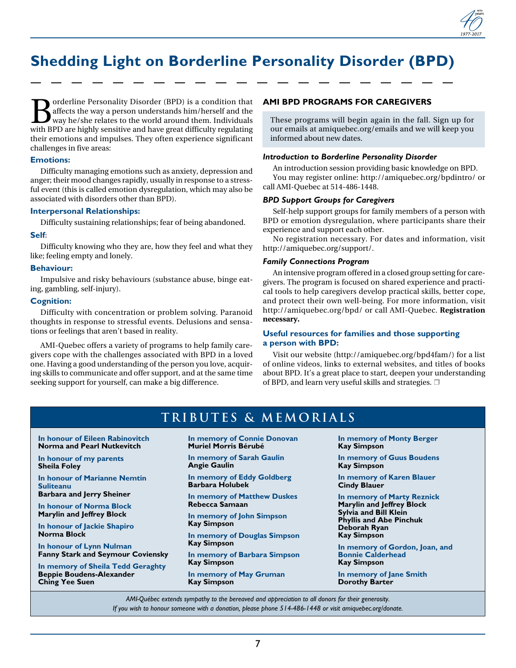## **Shedding Light on Borderline Personality Disorder (BPD)**

orderline Personality Disorder (BPD) is a condition that affects the way a person understands him/herself and the way he/she relates to the world around them. Individuals with BPD are highly sensitive and have great difficulty regulating their emotions and impulses. They often experience significant challenges in five areas:

### **Emotions:**

Difficulty managing emotions such as anxiety, depression and anger; their mood changes rapidly, usually in response to a stressful event (this is called emotion dysregulation, which may also be associated with disorders other than BPD).

### **Interpersonal Relationships:**

Difficulty sustaining relationships; fear of being abandoned.

### **Self:**

Difficulty knowing who they are, how they feel and what they like; feeling empty and lonely.

#### **Behaviour:**

Impulsive and risky behaviours (substance abuse, binge eating, gambling, self-injury).

### **Cognition:**

Difficulty with concentration or problem solving. Paranoid thoughts in response to stressful events. Delusions and sensations or feelings that aren't based in reality.

AMI-Quebec offers a variety of programs to help family caregivers cope with the challenges associated with BPD in a loved one. Having a good understanding of the person you love, acquiring skills to communicate and offer support, and at the same time seeking support for yourself, can make a big difference.

### **AMI BPD PROGRAMS FOR CAREGIVERS**

These programs will begin again in the fall. Sign up for our emails at amiquebec.org/emails and we will keep you informed about new dates.

### *Introduction to Borderline Personality Disorder*

An introduction session providing basic knowledge on BPD. You may register online: http://amiquebec.org/bpdintro/ or call AMI-Quebec at 514-486-1448.

### *BPD Support Groups for Caregivers*

Self-help support groups for family members of a person with BPD or emotion dysregulation, where participants share their experience and support each other.

No registration necessary. For dates and information, visit http://amiquebec.org/support/.

#### *Family Connections Program*

An intensive program offered in a closed group setting for caregivers. The program is focused on shared experience and practical tools to help caregivers develop practical skills, better cope, and protect their own well-being. For more information, visit http://amiquebec.org/bpd/ or call AMI-Quebec. **Registration necessary.**

### **Useful resources for families and those supporting a person with BPD:**

Visit our website (http://amiquebec.org/bpd4fam/) for a list of online videos, links to external websites, and titles of books about BPD. It's a great place to start, deepen your understanding of BPD, and learn very useful skills and strategies.  $\Box$ 

### **TRIBUTES & MEMORIALS**

**In honour of Eileen Rabinovitch Norma and Pearl Nutkevitch**

**In honour of my parents Sheila Foley**

**In honour of Marianne Nemtin Suliteanu Barbara and Jerry Sheiner**

**In honour of Norma Block**

**Marylin and Jeffrey Block** 

**In honour of Jackie Shapiro Norma Block**

**In honour of Lynn Nulman Fanny Stark and Seymour Coviensky**

**In memory of Sheila Tedd Geraghty Beppie Boudens-Alexander Ching Yee Suen**

#### **In memory of Connie Donovan Muriel Morris Bérubé**

**In memory of Sarah Gaulin Angie Gaulin**

**In memory of Eddy Goldberg Barbara Holubek**

**In memory of Matthew Duskes Rebecca Samaan**

**In memory of John Simpson Kay Simpson**

**In memory of Douglas Simpson Kay Simpson**

**In memory of Barbara Simpson Kay Simpson**

**In memory of May Gruman Kay Simpson**

**In memory of Monty Berger Kay Simpson**

**In memory of Guus Boudens Kay Simpson**

**In memory of Karen Blauer Cindy Blauer**

**In memory of Marty Reznick Marylin and Jeffrey Block Sylvia and Bill Klein Phyllis and Abe Pinchuk Deborah Ryan Kay Simpson**

**In memory of Gordon, Joan, and Bonnie Calderhead Kay Simpson**

**In memory of Jane Smith Dorothy Barter**

*AMI-Québec extends sympathy to the bereaved and appreciation to all donors for their generosity. If you wish to honour someone with a donation, please phone 514-486-1448 or visit amiquebec.org/donate.*